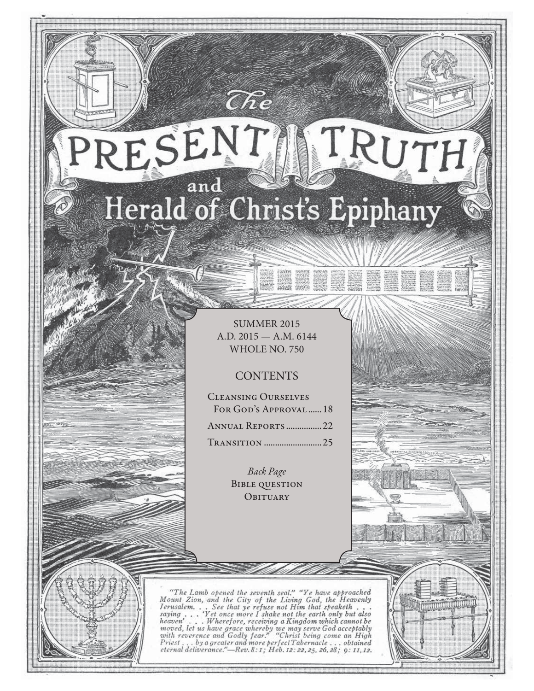# RESENT TRUTH and Herald of Christ's Epiphany

 $\widehat{C}\hspace{-0.6mm}\mathit{\widehat{R}} e$ 

SUMMER 2015 A.D. 2015 — A.M. 6144 WHOLE NO. 750

# **CONTENTS**

Cleansing Ourselves FOR GOD'S APPROVAL ...... 18 Annual Reports ................ 22 Transition .......................... 25

> Back Page Bible question **OBITUARY**

"The Lamb opened the seventh seal," "Ye have approached<br>Mount Zion, and the City of the Living God, the Heavenly<br>Jerusalem... See that ye refuse not Him that speaketh...<br>saying ... 'Yet once more I shake not the earth onl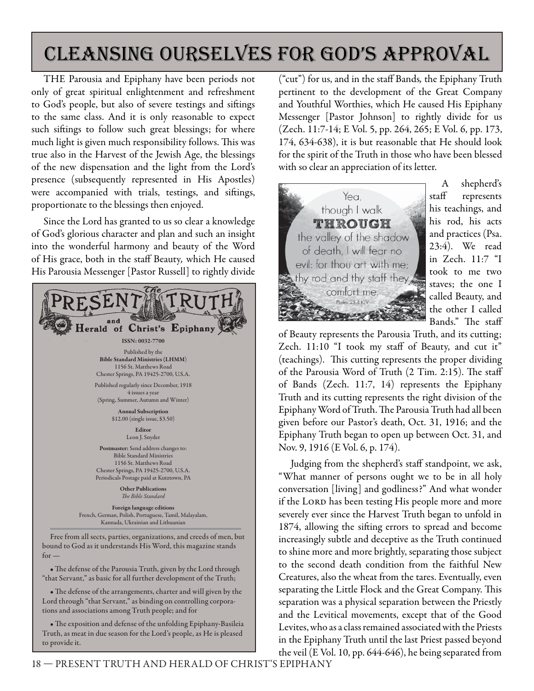# cleansing ourselves for god's approval

THE Parousia and Epiphany have been periods not only of great spiritual enlightenment and refreshment to God's people, but also of severe testings and siftings to the same class. And it is only reasonable to expect such siftings to follow such great blessings; for where much light is given much responsibility follows. This was true also in the Harvest of the Jewish Age, the blessings of the new dispensation and the light from the Lord's presence (subsequently represented in His Apostles) were accompanied with trials, testings, and siftings, proportionate to the blessings then enjoyed.

Since the Lord has granted to us so clear a knowledge of God's glorious character and plan and such an insight into the wonderful harmony and beauty of the Word of His grace, both in the staff Beauty, which He caused His Parousia Messenger [Pastor Russell] to rightly divide



• The defense of the Parousia Truth, given by the Lord through "that Servant," as basic for all further development of the Truth;

• The defense of the arrangements, charter and will given by the Lord through "that Servant," as binding on controlling corporations and associations among Truth people; and for

• The exposition and defense of the unfolding Epiphany-Basileia Truth, as meat in due season for the Lord's people, as He is pleased to provide it.

("cut") for us, and in the staff Bands, the Epiphany Truth pertinent to the development of the Great Company and Youthful Worthies, which He caused His Epiphany Messenger [Pastor Johnson] to rightly divide for us (Zech. 11:7-14; E Vol. 5, pp. 264, 265; E Vol. 6, pp. 173, 174, 634-638), it is but reasonable that He should look for the spirit of the Truth in those who have been blessed with so clear an appreciation of its letter.



A shepherd's staff represents his teachings, and his rod, his acts and practices (Psa. 23:4). We read in Zech. 11:7 "I took to me two staves; the one I called Beauty, and the other I called Bands." The staff

of Beauty represents the Parousia Truth, and its cutting; Zech. 11:10 "I took my staff of Beauty, and cut it" (teachings). This cutting represents the proper dividing of the Parousia Word of Truth (2 Tim. 2:15). The staff of Bands (Zech. 11:7, 14) represents the Epiphany Truth and its cutting represents the right division of the Epiphany Word of Truth. The Parousia Truth had all been given before our Pastor's death, Oct. 31, 1916; and the Epiphany Truth began to open up between Oct. 31, and Nov. 9, 1916 (E Vol. 6, p. 174).

Judging from the shepherd's staff standpoint, we ask, "What manner of persons ought we to be in all holy conversation [living] and godliness?" And what wonder if the LORD has been testing His people more and more severely ever since the Harvest Truth began to unfold in 1874, allowing the sifting errors to spread and become increasingly subtle and deceptive as the Truth continued to shine more and more brightly, separating those subject to the second death condition from the faithful New Creatures, also the wheat from the tares. Eventually, even separating the Little Flock and the Great Company. This separation was a physical separation between the Priestly and the Levitical movements, except that of the Good Levites, who as a class remained associated with the Priests in the Epiphany Truth until the last Priest passed beyond the veil (E Vol. 10, pp. 644-646), he being separated from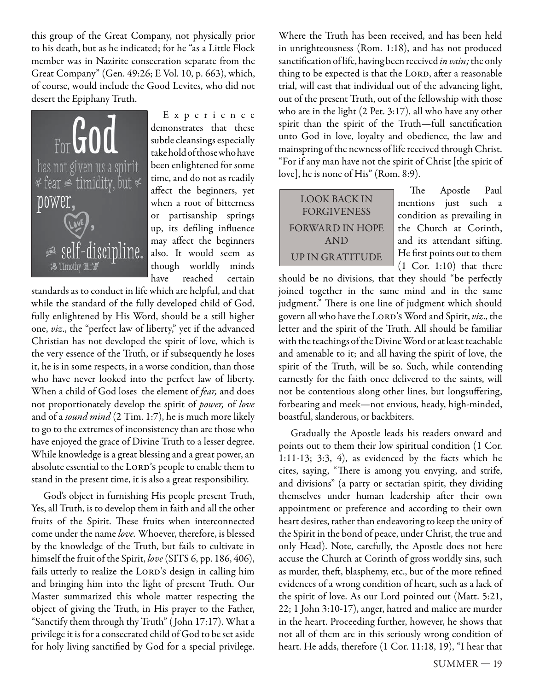this group of the Great Company, not physically prior to his death, but as he indicated; for he "as a Little Flock member was in Nazirite consecration separate from the Great Company" (Gen. 49:26; E Vol. 10, p. 663), which, of course, would include the Good Levites, who did not desert the Epiphany Truth.



E x p e r i e n c e demonstrates that these subtle cleansings especially take hold of those who have been enlightened for some time, and do not as readily affect the beginners, yet when a root of bitterness or partisanship springs up, its defiling influence may affect the beginners also. It would seem as though worldly minds have reached certain

standards as to conduct in life which are helpful, and that while the standard of the fully developed child of God, fully enlightened by His Word, should be a still higher one, viz., the "perfect law of liberty," yet if the advanced Christian has not developed the spirit of love, which is the very essence of the Truth, or if subsequently he loses it, he is in some respects, in a worse condition, than those who have never looked into the perfect law of liberty. When a child of God loses the element of *fear*, and does not proportionately develop the spirit of power, of love and of a sound mind (2 Tim. 1:7), he is much more likely to go to the extremes of inconsistency than are those who have enjoyed the grace of Divine Truth to a lesser degree. While knowledge is a great blessing and a great power, an absolute essential to the LORD's people to enable them to stand in the present time, it is also a great responsibility.

God's object in furnishing His people present Truth, Yes, all Truth, is to develop them in faith and all the other fruits of the Spirit. These fruits when interconnected come under the name love. Whoever, therefore, is blessed by the knowledge of the Truth, but fails to cultivate in himself the fruit of the Spirit, love (SITS 6, pp. 186, 406), fails utterly to realize the LORD's design in calling him and bringing him into the light of present Truth. Our Master summarized this whole matter respecting the object of giving the Truth, in His prayer to the Father, "Sanctify them through thy Truth" ( John 17:17). What a privilege it is for a consecrated child of God to be set aside for holy living sanctified by God for a special privilege.

Where the Truth has been received, and has been held in unrighteousness (Rom. 1:18), and has not produced sanctification of life, having been received in vain; the only thing to be expected is that the LORD, after a reasonable trial, will cast that individual out of the advancing light, out of the present Truth, out of the fellowship with those who are in the light (2 Pet. 3:17), all who have any other spirit than the spirit of the Truth—full sanctification unto God in love, loyalty and obedience, the law and mainspring of the newness of life received through Christ. "For if any man have not the spirit of Christ [the spirit of love], he is none of His" (Rom. 8:9).

LOOK BACK IN FORGIVENESS FORWARD IN HOPE AND UP IN GRATITUDE

The Apostle Paul mentions just such a condition as prevailing in the Church at Corinth, and its attendant sifting. He first points out to them (1 Cor. 1:10) that there

should be no divisions, that they should "be perfectly joined together in the same mind and in the same judgment." There is one line of judgment which should govern all who have the LORD's Word and Spirit, viz., the letter and the spirit of the Truth. All should be familiar with the teachings of the Divine Word or at least teachable and amenable to it; and all having the spirit of love, the spirit of the Truth, will be so. Such, while contending earnestly for the faith once delivered to the saints, will not be contentious along other lines, but longsuffering, forbearing and meek—not envious, heady, high-minded, boastful, slanderous, or backbiters.

Gradually the Apostle leads his readers onward and points out to them their low spiritual condition (1 Cor. 1:11-13; 3:3, 4), as evidenced by the facts which he cites, saying, "There is among you envying, and strife, and divisions" (a party or sectarian spirit, they dividing themselves under human leadership after their own appointment or preference and according to their own heart desires, rather than endeavoring to keep the unity of the Spirit in the bond of peace, under Christ, the true and only Head). Note, carefully, the Apostle does not here accuse the Church at Corinth of gross worldly sins, such as murder, theft, blasphemy, etc., but of the more refined evidences of a wrong condition of heart, such as a lack of the spirit of love. As our Lord pointed out (Matt. 5:21, 22; 1 John 3:10-17), anger, hatred and malice are murder in the heart. Proceeding further, however, he shows that not all of them are in this seriously wrong condition of heart. He adds, therefore (1 Cor. 11:18, 19), "I hear that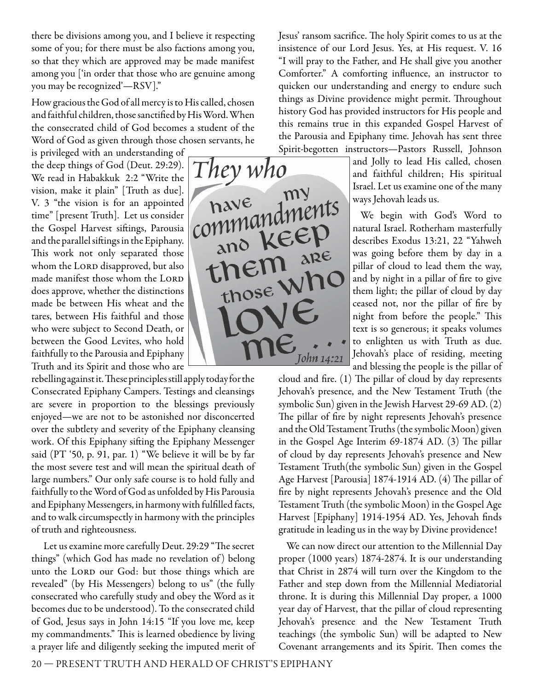there be divisions among you, and I believe it respecting some of you; for there must be also factions among you, so that they which are approved may be made manifest among you ['in order that those who are genuine among you may be recognized'—RSV]."

How gracious the God of all mercy is to His called, chosen and faithful children, those sanctified by His Word. When the consecrated child of God becomes a student of the Word of God as given through those chosen servants, he

is privileged with an understanding of the deep things of God (Deut. 29:29). We read in Habakkuk 2:2 "Write the vision, make it plain" [Truth as due]. V. 3 "the vision is for an appointed time" [present Truth]. Let us consider the Gospel Harvest siftings, Parousia and the parallel siftings in the Epiphany. This work not only separated those whom the LORD disapproved, but also made manifest those whom the LORD does approve, whether the distinctions made be between His wheat and the tares, between His faithful and those who were subject to Second Death, or between the Good Levites, who hold faithfully to the Parousia and Epiphany Truth and its Spirit and those who are

rebelling against it. These principles still apply today for the Consecrated Epiphany Campers. Testings and cleansings are severe in proportion to the blessings previously enjoyed—we are not to be astonished nor disconcerted over the subtlety and severity of the Epiphany cleansing work. Of this Epiphany sifting the Epiphany Messenger said (PT '50, p. 91, par. 1) "We believe it will be by far the most severe test and will mean the spiritual death of large numbers." Our only safe course is to hold fully and faithfully to the Word of God as unfolded by His Parousia and Epiphany Messengers, in harmony with fulfilled facts, and to walk circumspectly in harmony with the principles of truth and righteousness.

Let us examine more carefully Deut. 29:29 "The secret things" (which God has made no revelation of ) belong unto the LORD our God: but those things which are revealed" (by His Messengers) belong to us" (the fully consecrated who carefully study and obey the Word as it becomes due to be understood). To the consecrated child of God, Jesus says in John 14:15 "If you love me, keep my commandments." This is learned obedience by living a prayer life and diligently seeking the imputed merit of



Jesus' ransom sacrifice. The holy Spirit comes to us at the insistence of our Lord Jesus. Yes, at His request. V. 16 "I will pray to the Father, and He shall give you another Comforter." A comforting influence, an instructor to quicken our understanding and energy to endure such things as Divine providence might permit. Throughout history God has provided instructors for His people and this remains true in this expanded Gospel Harvest of the Parousia and Epiphany time. Jehovah has sent three Spirit-begotten instructors—Pastors Russell, Johnson

> and Jolly to lead His called, chosen and faithful children; His spiritual Israel. Let us examine one of the many ways Jehovah leads us.

> We begin with God's Word to natural Israel. Rotherham masterfully describes Exodus 13:21, 22 "Yahweh was going before them by day in a pillar of cloud to lead them the way, and by night in a pillar of fire to give them light; the pillar of cloud by day ceased not, nor the pillar of fire by night from before the people." This text is so generous; it speaks volumes to enlighten us with Truth as due. Jehovah's place of residing, meeting and blessing the people is the pillar of

cloud and fire.  $(1)$  The pillar of cloud by day represents Jehovah's presence, and the New Testament Truth (the symbolic Sun) given in the Jewish Harvest 29-69 AD. (2) The pillar of fire by night represents Jehovah's presence and the Old Testament Truths (the symbolic Moon) given in the Gospel Age Interim 69-1874 AD. (3) The pillar of cloud by day represents Jehovah's presence and New Testament Truth(the symbolic Sun) given in the Gospel Age Harvest [Parousia] 1874-1914 AD. (4) The pillar of fire by night represents Jehovah's presence and the Old Testament Truth (the symbolic Moon) in the Gospel Age Harvest [Epiphany] 1914-1954 AD. Yes, Jehovah finds gratitude in leading us in the way by Divine providence!

We can now direct our attention to the Millennial Day proper (1000 years) 1874-2874. It is our understanding that Christ in 2874 will turn over the Kingdom to the Father and step down from the Millennial Mediatorial throne. It is during this Millennial Day proper, a 1000 year day of Harvest, that the pillar of cloud representing Jehovah's presence and the New Testament Truth teachings (the symbolic Sun) will be adapted to New Covenant arrangements and its Spirit. Then comes the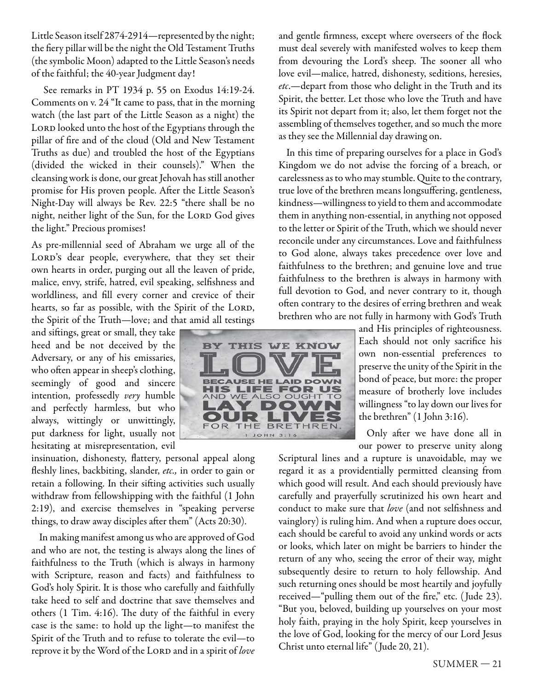Little Season itself 2874-2914—represented by the night; the fiery pillar will be the night the Old Testament Truths (the symbolic Moon) adapted to the Little Season's needs of the faithful; the 40-year Judgment day!

See remarks in PT 1934 p. 55 on Exodus 14:19-24. Comments on v. 24 "It came to pass, that in the morning watch (the last part of the Little Season as a night) the LORD looked unto the host of the Egyptians through the pillar of fire and of the cloud (Old and New Testament Truths as due) and troubled the host of the Egyptians (divided the wicked in their counsels)." When the cleansing work is done, our great Jehovah has still another promise for His proven people. After the Little Season's Night-Day will always be Rev. 22:5 "there shall be no night, neither light of the Sun, for the LORD God gives the light." Precious promises!

As pre-millennial seed of Abraham we urge all of the LORD's dear people, everywhere, that they set their own hearts in order, purging out all the leaven of pride, malice, envy, strife, hatred, evil speaking, selfishness and worldliness, and fill every corner and crevice of their hearts, so far as possible, with the Spirit of the LORD, the Spirit of the Truth—love; and that amid all testings

and siftings, great or small, they take heed and be not deceived by the Adversary, or any of his emissaries, who often appear in sheep's clothing, seemingly of good and sincere intention, professedly very humble and perfectly harmless, but who always, wittingly or unwittingly, put darkness for light, usually not hesitating at misrepresentation, evil

insinuation, dishonesty, flattery, personal appeal along fleshly lines, backbiting, slander, etc., in order to gain or retain a following. In their sifting activities such usually withdraw from fellowshipping with the faithful (1 John 2:19), and exercise themselves in "speaking perverse things, to draw away disciples after them" (Acts 20:30).

In making manifest among us who are approved of God and who are not, the testing is always along the lines of faithfulness to the Truth (which is always in harmony with Scripture, reason and facts) and faithfulness to God's holy Spirit. It is those who carefully and faithfully take heed to self and doctrine that save themselves and others  $(1$  Tim. 4:16). The duty of the faithful in every case is the same: to hold up the light—to manifest the Spirit of the Truth and to refuse to tolerate the evil—to reprove it by the Word of the LORD and in a spirit of love



and gentle firmness, except where overseers of the flock must deal severely with manifested wolves to keep them from devouring the Lord's sheep. The sooner all who love evil—malice, hatred, dishonesty, seditions, heresies, etc.—depart from those who delight in the Truth and its Spirit, the better. Let those who love the Truth and have its Spirit not depart from it; also, let them forget not the assembling of themselves together, and so much the more as they see the Millennial day drawing on.

In this time of preparing ourselves for a place in God's Kingdom we do not advise the forcing of a breach, or carelessness as to who may stumble. Quite to the contrary, true love of the brethren means longsuffering, gentleness, kindness—willingness to yield to them and accommodate them in anything non-essential, in anything not opposed to the letter or Spirit of the Truth, which we should never reconcile under any circumstances. Love and faithfulness to God alone, always takes precedence over love and faithfulness to the brethren; and genuine love and true faithfulness to the brethren is always in harmony with full devotion to God, and never contrary to it, though often contrary to the desires of erring brethren and weak brethren who are not fully in harmony with God's Truth

and His principles of righteousness. Each should not only sacrifice his own non-essential preferences to preserve the unity of the Spirit in the bond of peace, but more: the proper measure of brotherly love includes willingness "to lay down our lives for the brethren" (1 John 3:16).

Only after we have done all in our power to preserve unity along

Scriptural lines and a rupture is unavoidable, may we regard it as a providentially permitted cleansing from which good will result. And each should previously have carefully and prayerfully scrutinized his own heart and conduct to make sure that love (and not selfishness and vainglory) is ruling him. And when a rupture does occur, each should be careful to avoid any unkind words or acts or looks, which later on might be barriers to hinder the return of any who, seeing the error of their way, might subsequently desire to return to holy fellowship. And such returning ones should be most heartily and joyfully received—"pulling them out of the fire," etc. (Jude 23). "But you, beloved, building up yourselves on your most holy faith, praying in the holy Spirit, keep yourselves in the love of God, looking for the mercy of our Lord Jesus Christ unto eternal life" ( Jude 20, 21).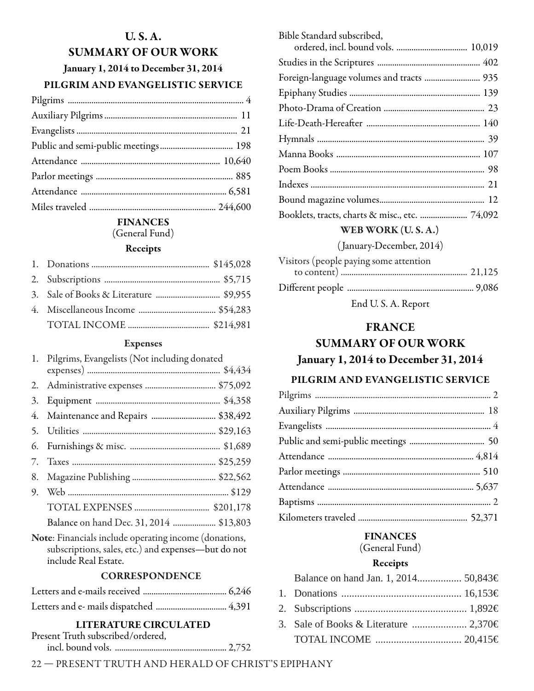# **U. S. A. SUMMARY OF OUR WORK January 1, 2014 to December 31, 2014 PILGRIM AND EVANGELISTIC SERVICE**

### **FINANCES**

(General Fund)

#### **Receipts**

#### **Expenses**

| 1. Pilgrims, Evangelists (Not including donated |  |  |
|-------------------------------------------------|--|--|
|                                                 |  |  |
|                                                 |  |  |
|                                                 |  |  |
| 4. Maintenance and Repairs  \$38,492            |  |  |
|                                                 |  |  |
|                                                 |  |  |
|                                                 |  |  |
|                                                 |  |  |
|                                                 |  |  |
|                                                 |  |  |
| Balance on hand Dec. 31, 2014  \$13,803         |  |  |
|                                                 |  |  |

**Note**: Financials include operating income (donations, subscriptions, sales, etc.) and expenses—but do not include Real Estate.

### **CORRESPONDENCE**

### **LITERATURE CIRCULATED**

| Present Truth subscribed/ordered, |  |
|-----------------------------------|--|
|                                   |  |

Bible Standard subscribed, ordered, incl. bound vols. ................................. 10,019 Studies in the Scriptures ................................................ 402 Foreign-language volumes and tracts .......................... 935 Epiphany Studies ............................................................. 139 Photo-Drama of Creation ............................................... 23 Life-Death-Hereaft er ..................................................... 140 Hymnals .............................................................................. 39 Manna Books ................................................................... 107 Poem Books ........................................................................ 98 Indexes ................................................................................. 21 Bound magazine volumes ................................................. 12 Booklets, tracts, charts & misc., etc. ...................... 74,092

### **WEB WORK (U. S. A.)**

( January-December, 2014)

| Visitors (people paying some attention |  |
|----------------------------------------|--|
|                                        |  |
|                                        |  |
|                                        |  |

End U. S. A. Report

### **FRANCE**

# **SUMMARY OF OUR WORK January 1, 2014 to December 31, 2014**

### **PILGRIM AND EVANGELISTIC SERVICE**

### **FINANCES**

(General Fund)

### **Receipts**

| Balance on hand Jan. 1, 2014 50,843€ |  |
|--------------------------------------|--|
|                                      |  |
|                                      |  |
|                                      |  |
|                                      |  |
|                                      |  |

22 — PRESENT TRUTH AND HERALD OF CHRIST'S EPIPHANY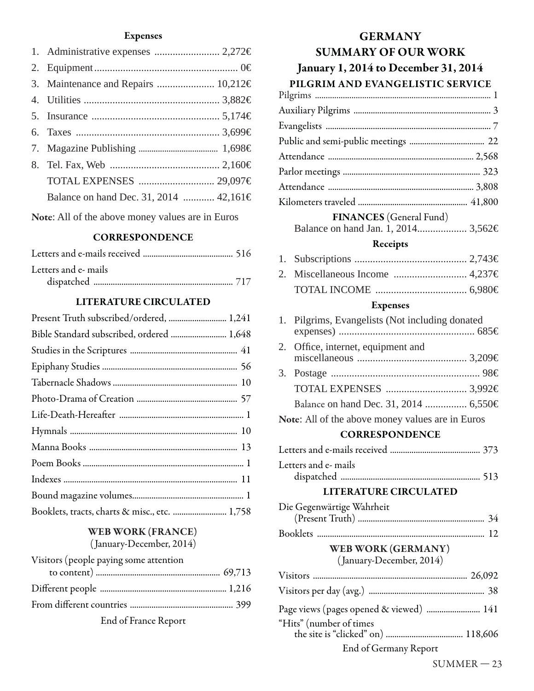### **Expenses**

| 3. Maintenance and Repairs  10,212€    |  |
|----------------------------------------|--|
|                                        |  |
|                                        |  |
|                                        |  |
|                                        |  |
|                                        |  |
| TOTAL EXPENSES  29,097€                |  |
| Balance on hand Dec. 31, 2014  42,161€ |  |
|                                        |  |

**Note**: All of the above money values are in Euros

### **CORRESPONDENCE**

| Letters and e- mails |  |
|----------------------|--|
|                      |  |

### **LITERATURE CIRCULATED**

| Present Truth subscribed/ordered,  1,241      |  |
|-----------------------------------------------|--|
| Bible Standard subscribed, ordered  1,648     |  |
|                                               |  |
|                                               |  |
|                                               |  |
|                                               |  |
|                                               |  |
|                                               |  |
|                                               |  |
|                                               |  |
|                                               |  |
|                                               |  |
| Booklets, tracts, charts & misc., etc.  1,758 |  |

## **WEB WORK (FRANCE)** ( January-December, 2014)

| Visitors (people paying some attention |  |
|----------------------------------------|--|
|                                        |  |
|                                        |  |
|                                        |  |
|                                        |  |

End of France Report

# **GERMANY SUMMARY OF OUR WORK January 1, 2014 to December 31, 2014 PILGRIM AND EVANGELISTIC SERVICE**

| <b>FINANCES</b> (General Fund) |  |
|--------------------------------|--|

Balance on hand Jan. 1, 2014 ................... 3,562€

### **Receipts**

### **Expenses**

| 1. | Pilgrims, Evangelists (Not including donated     |  |
|----|--------------------------------------------------|--|
| 2. | Office, internet, equipment and                  |  |
|    |                                                  |  |
|    |                                                  |  |
|    |                                                  |  |
|    | Balance on hand Dec. 31, 2014  6,550€            |  |
|    | Note: All of the above money values are in Euros |  |
|    | <b>CORRESPONDENCE</b>                            |  |
|    |                                                  |  |
|    | Letters and e- mails                             |  |
|    | <b>LITERATURE CIRCULATED</b>                     |  |
|    | Die Gegenwärtige Wahrheit                        |  |
|    |                                                  |  |
|    | WEB WORK (GERMANY)<br>(January-December, 2014)   |  |
|    |                                                  |  |
|    |                                                  |  |
|    | Page views (pages opened & viewed)  141          |  |
|    | "Hits" (number of times                          |  |
|    | End of Germany Report                            |  |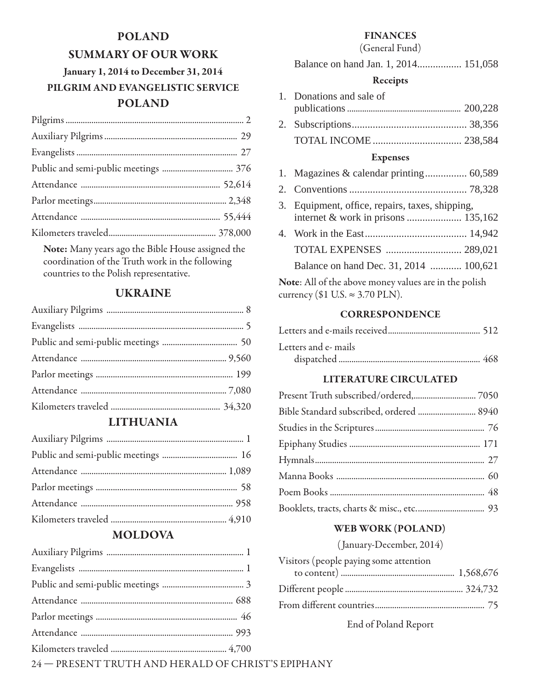# **POLAND SUMMARY OF OUR WORK**

# **January 1, 2014 to December 31, 2014 PILGRIM AND EVANGELISTIC SERVICE POLAND**

**Note:** Many years ago the Bible House assigned the coordination of the Truth work in the following countries to the Polish representative.

## **UKRAINE**

## **LITHUANIA**

## **MOLDOVA**

### **FINANCES**

### (General Fund)

| Balance on hand Jan. 1, 2014 151,058 |  |  |
|--------------------------------------|--|--|
|--------------------------------------|--|--|

### **Receipts**

| 1. Donations and sale of |  |
|--------------------------|--|
|                          |  |
|                          |  |

TOTAL INCOME .................................. 238,584

### **Expenses**

- 1. Magazines & calendar printing ................ 60,589
- 2. Conventions ............................................. 78,328
- 3. Equipment, office, repairs, taxes, shipping, internet & work in prisons ..................... 135,162
- 4. Work in the East ....................................... 14,942 TOTAL EXPENSES ............................. 289,021 Balance on hand Dec. 31, 2014 ............ 100,621

**Note**: All of the above money values are in the polish currency (\$1 U.S.  $\approx$  3.70 PLN).

### **CORRESPONDENCE**

| Letters and e- mails |  |
|----------------------|--|
|                      |  |

### **LITERATURE CIRCULATED**

| Bible Standard subscribed, ordered  8940 |  |
|------------------------------------------|--|
|                                          |  |
|                                          |  |
|                                          |  |
|                                          |  |
|                                          |  |
|                                          |  |

### **WEB WORK (POLAND)**

( January-December, 2014)

| Visitors (people paying some attention |  |
|----------------------------------------|--|
|                                        |  |
|                                        |  |
|                                        |  |

End of Poland Report

24 — PRESENT TRUTH AND HERALD OF CHRIST'S EPIPHANY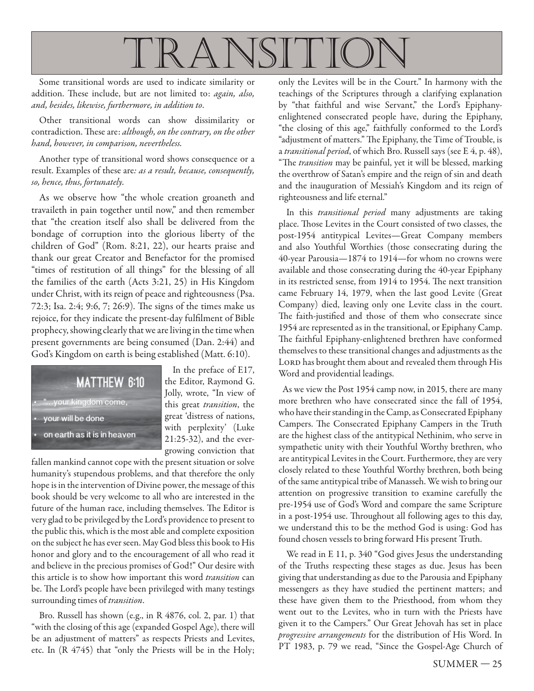

Some transitional words are used to indicate similarity or addition. These include, but are not limited to: again, also, and, besides, likewise, furthermore, in addition to.

Other transitional words can show dissimilarity or contradiction. These are: although, on the contrary, on the other hand, however, in comparison, nevertheless.

Another type of transitional word shows consequence or a result. Examples of these are: as a result, because, consequently, so, hence, thus, fortunately.

As we observe how "the whole creation groaneth and travaileth in pain together until now," and then remember that "the creation itself also shall be delivered from the bondage of corruption into the glorious liberty of the children of God" (Rom. 8:21, 22), our hearts praise and thank our great Creator and Benefactor for the promised "times of restitution of all things" for the blessing of all the families of the earth (Acts 3:21, 25) in His Kingdom under Christ, with its reign of peace and righteousness (Psa. 72:3; Isa. 2:4; 9:6, 7; 26:9). The signs of the times make us rejoice, for they indicate the present-day fulfilment of Bible prophecy, showing clearly that we are living in the time when present governments are being consumed (Dan. 2:44) and God's Kingdom on earth is being established (Matt. 6:10).



In the preface of E17, the Editor, Raymond G. Jolly, wrote, "In view of this great transition, the great 'distress of nations, with perplexity' (Luke 21:25-32), and the evergrowing conviction that

fallen mankind cannot cope with the present situation or solve humanity's stupendous problems, and that therefore the only hope is in the intervention of Divine power, the message of this book should be very welcome to all who are interested in the future of the human race, including themselves. The Editor is very glad to be privileged by the Lord's providence to present to the public this, which is the most able and complete exposition on the subject he has ever seen. May God bless this book to His honor and glory and to the encouragement of all who read it and believe in the precious promises of God!" Our desire with this article is to show how important this word transition can be. The Lord's people have been privileged with many testings surrounding times of *transition*.

Bro. Russell has shown (e.g., in R 4876, col. 2, par. 1) that "with the closing of this age (expanded Gospel Age), there will be an adjustment of matters" as respects Priests and Levites, etc. In (R 4745) that "only the Priests will be in the Holy;

only the Levites will be in the Court." In harmony with the teachings of the Scriptures through a clarifying explanation by "that faithful and wise Servant," the Lord's Epiphanyenlightened consecrated people have, during the Epiphany, "the closing of this age," faithfully conformed to the Lord's "adjustment of matters." The Epiphany, the Time of Trouble, is a transitional period, of which Bro. Russell says (see E 4, p. 48), "The transition may be painful, yet it will be blessed, marking the overthrow of Satan's empire and the reign of sin and death and the inauguration of Messiah's Kingdom and its reign of righteousness and life eternal."

In this *transitional period* many adjustments are taking place. Those Levites in the Court consisted of two classes, the post-1954 antitypical Levites—Great Company members and also Youthful Worthies (those consecrating during the 40-year Parousia—1874 to 1914—for whom no crowns were available and those consecrating during the 40-year Epiphany in its restricted sense, from 1914 to 1954. The next transition came February 14, 1979, when the last good Levite (Great Company) died, leaving only one Levite class in the court. The faith-justified and those of them who consecrate since 1954 are represented as in the transitional, or Epiphany Camp. The faithful Epiphany-enlightened brethren have conformed themselves to these transitional changes and adjustments as the LORD has brought them about and revealed them through His Word and providential leadings.

As we view the Post 1954 camp now, in 2015, there are many more brethren who have consecrated since the fall of 1954, who have their standing in the Camp, as Consecrated Epiphany Campers. The Consecrated Epiphany Campers in the Truth are the highest class of the antitypical Nethinim, who serve in sympathetic unity with their Youthful Worthy brethren, who are antitypical Levites in the Court. Furthermore, they are very closely related to these Youthful Worthy brethren, both being of the same antitypical tribe of Manasseh. We wish to bring our attention on progressive transition to examine carefully the pre-1954 use of God's Word and compare the same Scripture in a post-1954 use. Throughout all following ages to this day, we understand this to be the method God is using: God has found chosen vessels to bring forward His present Truth.

We read in E 11, p. 340 "God gives Jesus the understanding of the Truths respecting these stages as due. Jesus has been giving that understanding as due to the Parousia and Epiphany messengers as they have studied the pertinent matters; and these have given them to the Priesthood, from whom they went out to the Levites, who in turn with the Priests have given it to the Campers." Our Great Jehovah has set in place progressive arrangements for the distribution of His Word. In PT 1983, p. 79 we read, "Since the Gospel-Age Church of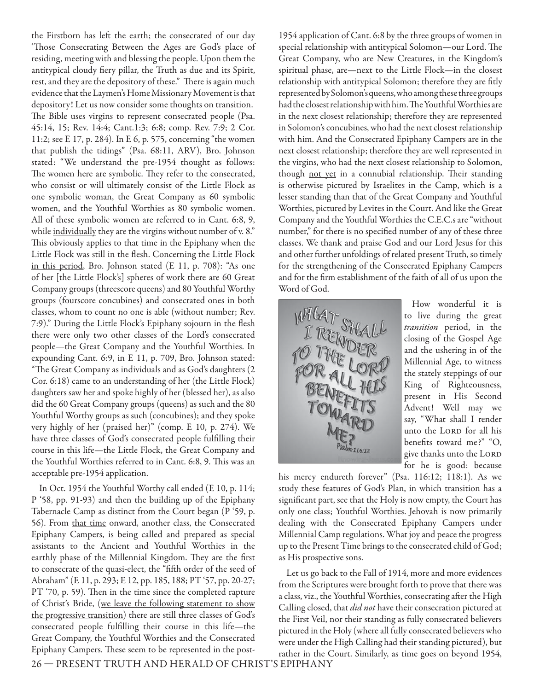the Firstborn has left the earth; the consecrated of our day 'Those Consecrating Between the Ages are God's place of residing, meeting with and blessing the people. Upon them the antitypical cloudy fiery pillar, the Truth as due and its Spirit, rest, and they are the depository of these." There is again much evidence that the Laymen's Home Missionary Movement is that depository! Let us now consider some thoughts on transition. The Bible uses virgins to represent consecrated people (Psa. 45:14, 15; Rev. 14:4; Cant.1:3; 6:8; comp. Rev. 7:9; 2 Cor. 11:2; see E 17, p. 284). In E 6, p. 575, concerning "the women that publish the tidings" (Psa. 68:11, ARV), Bro. Johnson stated: "We understand the pre-1954 thought as follows: The women here are symbolic. They refer to the consecrated, who consist or will ultimately consist of the Little Flock as one symbolic woman, the Great Company as 60 symbolic women, and the Youthful Worthies as 80 symbolic women. All of these symbolic women are referred to in Cant. 6:8, 9, while individually they are the virgins without number of v. 8." This obviously applies to that time in the Epiphany when the Little Flock was still in the flesh. Concerning the Little Flock in this period, Bro. Johnson stated (E 11, p. 708): "As one of her [the Little Flock's] spheres of work there are 60 Great Company groups (threescore queens) and 80 Youthful Worthy groups (fourscore concubines) and consecrated ones in both classes, whom to count no one is able (without number; Rev. 7:9)." During the Little Flock's Epiphany sojourn in the flesh there were only two other classes of the Lord's consecrated people—the Great Company and the Youthful Worthies. In expounding Cant. 6:9, in E 11, p. 709, Bro. Johnson stated: "The Great Company as individuals and as God's daughters (2 Cor. 6:18) came to an understanding of her (the Little Flock) daughters saw her and spoke highly of her (blessed her), as also did the 60 Great Company groups (queens) as such and the 80 Youthful Worthy groups as such (concubines); and they spoke very highly of her (praised her)" (comp. E 10, p. 274). We have three classes of God's consecrated people fulfilling their course in this life—the Little Flock, the Great Company and the Youthful Worthies referred to in Cant. 6:8, 9. This was an acceptable pre-1954 application.

In Oct. 1954 the Youthful Worthy call ended (E 10, p. 114; P '58, pp. 91-93) and then the building up of the Epiphany Tabernacle Camp as distinct from the Court began (P '59, p. 56). From that time onward, another class, the Consecrated Epiphany Campers, is being called and prepared as special assistants to the Ancient and Youthful Worthies in the earthly phase of the Millennial Kingdom. They are the first to consecrate of the quasi-elect, the "fifth order of the seed of Abraham" (E 11, p. 293; E 12, pp. 185, 188; PT '57, pp. 20-27; PT '70, p. 59). Then in the time since the completed rapture of Christ's Bride, (we leave the following statement to show the progressive transition) there are still three classes of God's consecrated people fulfilling their course in this life-the Great Company, the Youthful Worthies and the Consecrated Epiphany Campers. These seem to be represented in the post-

1954 application of Cant. 6:8 by the three groups of women in special relationship with antitypical Solomon-our Lord. The Great Company, who are New Creatures, in the Kingdom's spiritual phase, are—next to the Little Flock—in the closest relationship with antitypical Solomon; therefore they are fitly represented by Solomon's queens, who among these three groups had the closest relationship with him. The Youthful Worthies are in the next closest relationship; therefore they are represented in Solomon's concubines, who had the next closest relationship with him. And the Consecrated Epiphany Campers are in the next closest relationship; therefore they are well represented in the virgins, who had the next closest relationship to Solomon, though not yet in a connubial relationship. Their standing is otherwise pictured by Israelites in the Camp, which is a lesser standing than that of the Great Company and Youthful Worthies, pictured by Levites in the Court. And like the Great Company and the Youthful Worthies the C.E.C.s are "without number," for there is no specified number of any of these three classes. We thank and praise God and our Lord Jesus for this and other further unfoldings of related present Truth, so timely for the strengthening of the Consecrated Epiphany Campers and for the firm establishment of the faith of all of us upon the Word of God.



How wonderful it is to live during the great transition period, in the closing of the Gospel Age and the ushering in of the Millennial Age, to witness the stately steppings of our King of Righteousness, present in His Second Advent! Well may we say, "What shall I render unto the LORD for all his benefits toward me?" "O, give thanks unto the LORD for he is good: because

his mercy endureth forever" (Psa. 116:12; 118:1). As we study these features of God's Plan, in which transition has a significant part, see that the Holy is now empty, the Court has only one class; Youthful Worthies. Jehovah is now primarily dealing with the Consecrated Epiphany Campers under Millennial Camp regulations. What joy and peace the progress up to the Present Time brings to the consecrated child of God; as His prospective sons.

Let us go back to the Fall of 1914, more and more evidences from the Scriptures were brought forth to prove that there was a class, viz., the Youthful Worthies, consecrating after the High Calling closed, that did not have their consecration pictured at the First Veil, nor their standing as fully consecrated believers pictured in the Holy (where all fully consecrated believers who were under the High Calling had their standing pictured), but rather in the Court. Similarly, as time goes on beyond 1954,

26 — PRESENT TRUTH AND HERALD OF CHRIST'S EPIPHANY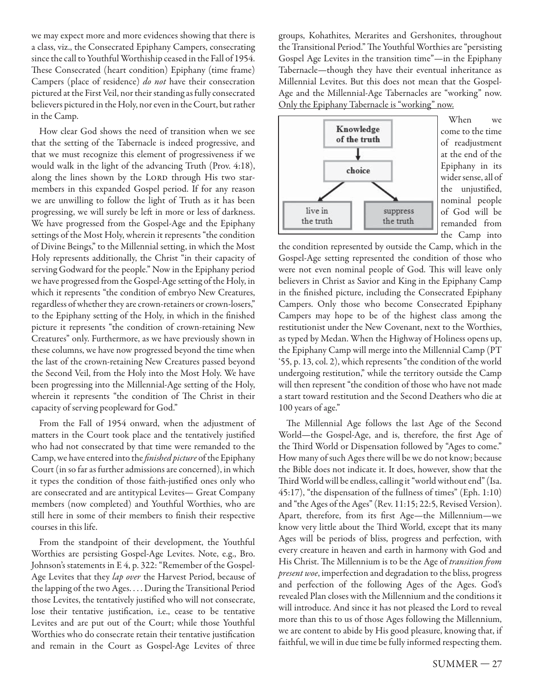we may expect more and more evidences showing that there is a class, viz., the Consecrated Epiphany Campers, consecrating since the call to Youthful Worthiship ceased in the Fall of 1954. These Consecrated (heart condition) Epiphany (time frame) Campers (place of residence) do not have their consecration pictured at the First Veil, nor their standing as fully consecrated believers pictured in the Holy, nor even in the Court, but rather in the Camp.

How clear God shows the need of transition when we see that the setting of the Tabernacle is indeed progressive, and that we must recognize this element of progressiveness if we would walk in the light of the advancing Truth (Prov. 4:18), along the lines shown by the LORD through His two starmembers in this expanded Gospel period. If for any reason we are unwilling to follow the light of Truth as it has been progressing, we will surely be left in more or less of darkness. We have progressed from the Gospel-Age and the Epiphany settings of the Most Holy, wherein it represents "the condition of Divine Beings," to the Millennial setting, in which the Most Holy represents additionally, the Christ "in their capacity of serving Godward for the people." Now in the Epiphany period we have progressed from the Gospel-Age setting of the Holy, in which it represents "the condition of embryo New Creatures, regardless of whether they are crown-retainers or crown-losers," to the Epiphany setting of the Holy, in which in the finished picture it represents "the condition of crown-retaining New Creatures" only. Furthermore, as we have previously shown in these columns, we have now progressed beyond the time when the last of the crown-retaining New Creatures passed beyond the Second Veil, from the Holy into the Most Holy. We have been progressing into the Millennial-Age setting of the Holy, wherein it represents "the condition of The Christ in their capacity of serving peopleward for God."

From the Fall of 1954 onward, when the adjustment of matters in the Court took place and the tentatively justified who had not consecrated by that time were remanded to the Camp, we have entered into the *finished picture* of the Epiphany Court (in so far as further admissions are concerned), in which it types the condition of those faith-justified ones only who are consecrated and are antitypical Levites— Great Company members (now completed) and Youthful Worthies, who are still here in some of their members to finish their respective courses in this life.

From the standpoint of their development, the Youthful Worthies are persisting Gospel-Age Levites. Note, e.g., Bro. Johnson's statements in E 4, p. 322: "Remember of the Gospel-Age Levites that they lap over the Harvest Period, because of the lapping of the two Ages. . . . During the Transitional Period those Levites, the tentatively justified who will not consecrate, lose their tentative justification, i.e., cease to be tentative Levites and are put out of the Court; while those Youthful Worthies who do consecrate retain their tentative justification and remain in the Court as Gospel-Age Levites of three groups, Kohathites, Merarites and Gershonites, throughout the Transitional Period." The Youthful Worthies are "persisting Gospel Age Levites in the transition time"—in the Epiphany Tabernacle—though they have their eventual inheritance as Millennial Levites. But this does not mean that the Gospel-Age and the Millennial-Age Tabernacles are "working" now. Only the Epiphany Tabernacle is "working" now.



When we come to the time of readjustment at the end of the Epiphany in its wider sense, all of the uniustified. nominal people of God will be remanded from the Camp into

the condition represented by outside the Camp, which in the Gospel-Age setting represented the condition of those who were not even nominal people of God. This will leave only believers in Christ as Savior and King in the Epiphany Camp in the finished picture, including the Consecrated Epiphany Campers. Only those who become Consecrated Epiphany Campers may hope to be of the highest class among the restitutionist under the New Covenant, next to the Worthies, as typed by Medan. When the Highway of Holiness opens up, the Epiphany Camp will merge into the Millennial Camp (PT '55, p. 13, col. 2), which represents "the condition of the world undergoing restitution," while the territory outside the Camp will then represent "the condition of those who have not made a start toward restitution and the Second Deathers who die at 100 years of age."

The Millennial Age follows the last Age of the Second World—the Gospel-Age, and is, therefore, the first Age of the Third World or Dispensation followed by "Ages to come." How many of such Ages there will be we do not know; because the Bible does not indicate it. It does, however, show that the Third World will be endless, calling it "world without end" (Isa. 45:17), "the dispensation of the fullness of times" (Eph. 1:10) and "the Ages of the Ages" (Rev. 11:15; 22:5, Revised Version). Apart, therefore, from its first Age-the Millennium-we know very little about the Third World, except that its many Ages will be periods of bliss, progress and perfection, with every creature in heaven and earth in harmony with God and His Christ. The Millennium is to be the Age of transition from present woe, imperfection and degradation to the bliss, progress and perfection of the following Ages of the Ages. God's revealed Plan closes with the Millennium and the conditions it will introduce. And since it has not pleased the Lord to reveal more than this to us of those Ages following the Millennium, we are content to abide by His good pleasure, knowing that, if faithful, we will in due time be fully informed respecting them.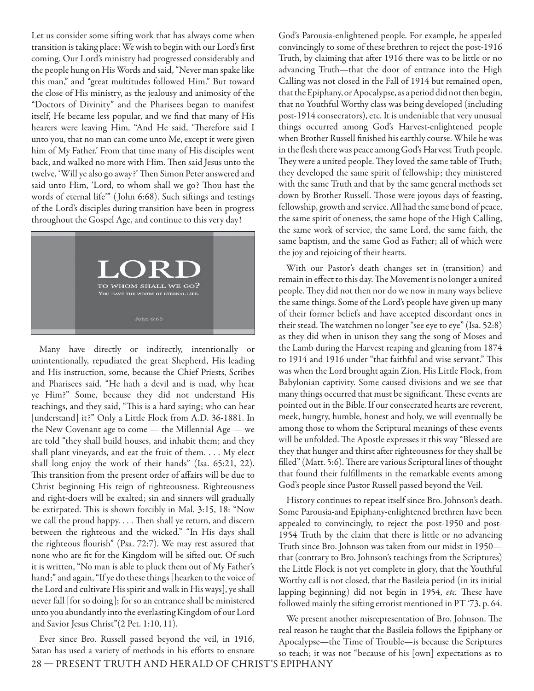Let us consider some sifting work that has always come when transition is taking place: We wish to begin with our Lord's first coming. Our Lord's ministry had progressed considerably and the people hung on His Words and said, "Never man spake like this man," and "great multitudes followed Him." But toward the close of His ministry, as the jealousy and animosity of the "Doctors of Divinity" and the Pharisees began to manifest itself, He became less popular, and we find that many of His hearers were leaving Him, "And He said, 'Therefore said I unto you, that no man can come unto Me, except it were given him of My Father.' From that time many of His disciples went back, and walked no more with Him. Then said Jesus unto the twelve, 'Will ye also go away?' Then Simon Peter answered and said unto Him, 'Lord, to whom shall we go? Thou hast the words of eternal life"" (John 6:68). Such siftings and testings of the Lord's disciples during transition have been in progress throughout the Gospel Age, and continue to this very day!



Many have directly or indirectly, intentionally or unintentionally, repudiated the great Shepherd, His leading and His instruction, some, because the Chief Priests, Scribes and Pharisees said. "He hath a devil and is mad, why hear ye Him?" Some, because they did not understand His teachings, and they said, "This is a hard saying; who can hear [understand] it?" Only a Little Flock from A.D. 36-1881. In the New Covenant age to come — the Millennial Age — we are told "they shall build houses, and inhabit them; and they shall plant vineyards, and eat the fruit of them. . . . My elect shall long enjoy the work of their hands" (Isa. 65:21, 22). This transition from the present order of affairs will be due to Christ beginning His reign of righteousness. Righteousness and right-doers will be exalted; sin and sinners will gradually be extirpated. This is shown forcibly in Mal. 3:15, 18: "Now we call the proud happy. . . . Then shall ye return, and discern between the righteous and the wicked." "In His days shall the righteous flourish" (Psa. 72:7). We may rest assured that none who are fit for the Kingdom will be sifted out. Of such it is written, "No man is able to pluck them out of My Father's hand;" and again, "If ye do these things [hearken to the voice of the Lord and cultivate His spirit and walk in His ways], ye shall never fall [for so doing]; for so an entrance shall be ministered unto you abundantly into the everlasting Kingdom of our Lord and Savior Jesus Christ"(2 Pet. 1:10, 11).

28 — PRESENT TRUTH AND HERALD OF CHRIST'S EPIPHANY Ever since Bro. Russell passed beyond the veil, in 1916, Satan has used a variety of methods in his efforts to ensnare

God's Parousia-enlightened people. For example, he appealed convincingly to some of these brethren to reject the post-1916 Truth, by claiming that after 1916 there was to be little or no advancing Truth—that the door of entrance into the High Calling was not closed in the Fall of 1914 but remained open, that the Epiphany, or Apocalypse, as a period did not then begin, that no Youthful Worthy class was being developed (including post-1914 consecrators), etc. It is undeniable that very unusual things occurred among God's Harvest-enlightened people when Brother Russell finished his earthly course. While he was in the flesh there was peace among God's Harvest Truth people. They were a united people. They loved the same table of Truth; they developed the same spirit of fellowship; they ministered with the same Truth and that by the same general methods set down by Brother Russell. Those were joyous days of feasting, fellowship, growth and service. All had the same bond of peace, the same spirit of oneness, the same hope of the High Calling, the same work of service, the same Lord, the same faith, the same baptism, and the same God as Father; all of which were the joy and rejoicing of their hearts.

With our Pastor's death changes set in (transition) and remain in effect to this day. The Movement is no longer a united people. They did not then nor do we now in many ways believe the same things. Some of the Lord's people have given up many of their former beliefs and have accepted discordant ones in their stead. The watchmen no longer "see eye to eye" (Isa. 52:8) as they did when in unison they sang the song of Moses and the Lamb during the Harvest reaping and gleaning from 1874 to 1914 and 1916 under "that faithful and wise servant." This was when the Lord brought again Zion, His Little Flock, from Babylonian captivity. Some caused divisions and we see that many things occurred that must be significant. These events are pointed out in the Bible. If our consecrated hearts are reverent, meek, hungry, humble, honest and holy, we will eventually be among those to whom the Scriptural meanings of these events will be unfolded. The Apostle expresses it this way "Blessed are they that hunger and thirst after righteousness for they shall be filled" (Matt. 5:6). There are various Scriptural lines of thought that found their fulfillments in the remarkable events among God's people since Pastor Russell passed beyond the Veil.

History continues to repeat itself since Bro. Johnson's death. Some Parousia-and Epiphany-enlightened brethren have been appealed to convincingly, to reject the post-1950 and post-1954 Truth by the claim that there is little or no advancing Truth since Bro. Johnson was taken from our midst in 1950 that (contrary to Bro. Johnson's teachings from the Scriptures) the Little Flock is not yet complete in glory, that the Youthful Worthy call is not closed, that the Basileia period (in its initial lapping beginning) did not begin in 1954, etc. These have followed mainly the sifting errorist mentioned in PT '73, p. 64.

We present another misrepresentation of Bro. Johnson. The real reason he taught that the Basileia follows the Epiphany or Apocalypse—the Time of Trouble—is because the Scriptures so teach; it was not "because of his [own] expectations as to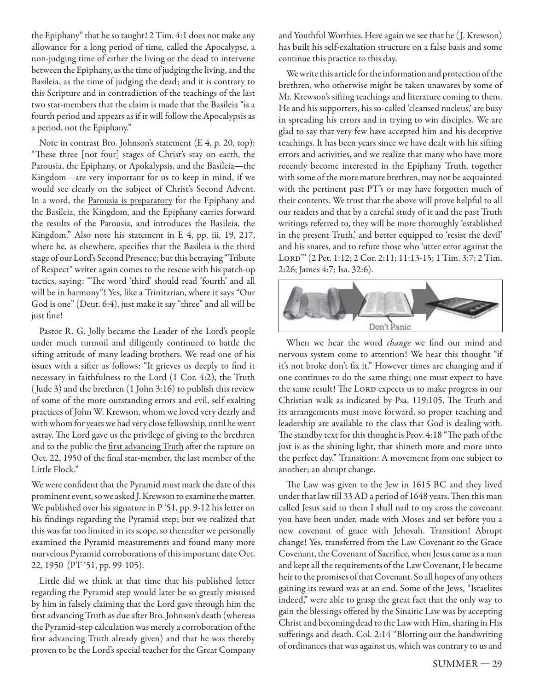the Epiphany" that he so taught! 2 Tim. 4:1 does not make any allowance for a long period of time, called the Apocalypse, a non-judging time of either the living or the dead to intervene between the Epiphany, as the time of judging the living, and the Basileia, as the time of judging the dead; and it is contrary to this Scripture and in contradiction of the teachings of the last two star-members that the claim is made that the Basileia "is a fourth period and appears as if it will follow the Apocalypsis as a period, not the Epiphany."

Note in contrast Bro. Johnson's statement (E 4, p. 20, top): "These three [not four] stages of Christ's stay on earth, the Parousia, the Epiphany, or Apokalypsis, and the Basileia—the Kingdom—are very important for us to keep in mind, if we would see clearly on the subject of Christ's Second Advent. In a word, the Parousia is preparatory for the Epiphany and the Basileia, the Kingdom, and the Epiphany carries forward the results of the Parousia, and introduces the Basileia, the Kingdom." Also note his statement in E 4, pp. iii, 19, 217, where he, as elsewhere, specifies that the Basileia is the third stage of our Lord's Second Presence; but this betraying "Tribute of Respect" writer again comes to the rescue with his patch-up tactics, saying: "The word 'third' should read 'fourth' and all will be in harmony"! Yes, like a Trinitarian, where it says "Our God is one" (Deut. 6:4), just make it say "three" and all will be just fine!

Pastor R. G. Jolly became the Leader of the Lord's people under much turmoil and diligently continued to battle the sifting attitude of many leading brothers. We read one of his issues with a sifter as follows: "It grieves us deeply to find it necessary in faithfulness to the Lord (1 Cor. 4:2), the Truth ( Jude 3) and the brethren (1 John 3:16) to publish this review of some of the more outstanding errors and evil, self-exalting practices of John W. Krewson, whom we loved very dearly and with whom for years we had very close fellowship, until he went astray. The Lord gave us the privilege of giving to the brethren and to the public the first advancing Truth after the rapture on Oct. 22, 1950 of the final star-member, the last member of the Little Flock."

We were confident that the Pyramid must mark the date of this prominent event, so we asked J. Krewson to examine the matter. We published over his signature in P '51, pp. 9-12 his letter on his findings regarding the Pyramid step; but we realized that this was far too limited in its scope, so thereafter we personally examined the Pyramid measurements and found many more marvelous Pyramid corroborations of this important date Oct. 22, 1950 (PT '51, pp. 99-105).

Little did we think at that time that his published letter regarding the Pyramid step would later be so greatly misused by him in falsely claiming that the Lord gave through him the first advancing Truth as due after Bro. Johnson's death (whereas the Pyramid-step calculation was merely a corroboration of the first advancing Truth already given) and that he was thereby proven to be the Lord's special teacher for the Great Company

and Youthful Worthies. Here again we see that he ( J. Krewson) has built his self-exaltation structure on a false basis and some continue this practice to this day.

We write this article for the information and protection of the brethren, who otherwise might be taken unawares by some of Mr. Krewson's sifting teachings and literature coming to them. He and his supporters, his so-called 'cleansed nucleus,' are busy in spreading his errors and in trying to win disciples. We are glad to say that very few have accepted him and his deceptive teachings. It has been years since we have dealt with his sifting errors and activities, and we realize that many who have more recently become interested in the Epiphany Truth, together with some of the more mature brethren, may not be acquainted with the pertinent past PT's or may have forgotten much of their contents. We trust that the above will prove helpful to all our readers and that by a careful study of it and the past Truth writings referred to, they will be more thoroughly 'established in the present Truth,' and better equipped to 'resist the devil' and his snares, and to refute those who 'utter error against the Lord'" (2 Pet. 1:12; 2 Cor. 2:11; 11:13-15; 1 Tim. 3:7; 2 Tim. 2:26; James 4:7; Isa. 32:6).



When we hear the word *change* we find our mind and nervous system come to attention! We hear this thought "if it's not broke don't fix it." However times are changing and if one continues to do the same thing; one must expect to have the same result! The LORD expects us to make progress in our Christian walk as indicated by Psa. 119:105. The Truth and its arrangements must move forward, so proper teaching and leadership are available to the class that God is dealing with. The standby text for this thought is Prov. 4:18 "The path of the just is as the shining light, that shineth more and more unto the perfect day." Transition: A movement from one subject to another; an abrupt change.

The Law was given to the Jew in 1615 BC and they lived under that law till 33 AD a period of 1648 years. Then this man called Jesus said to them I shall nail to my cross the covenant you have been under, made with Moses and set before you a new covenant of grace with Jehovah. Transition! Abrupt change! Yes, transferred from the Law Covenant to the Grace Covenant, the Covenant of Sacrifice, when Jesus came as a man and kept all the requirements of the Law Covenant, He became heir to the promises of that Covenant. So all hopes of any others gaining its reward was at an end. Some of the Jews, "Israelites indeed," were able to grasp the great fact that the only way to gain the blessings offered by the Sinaitic Law was by accepting Christ and becoming dead to the Law with Him, sharing in His sufferings and death. Col. 2:14 "Blotting out the handwriting of ordinances that was against us, which was contrary to us and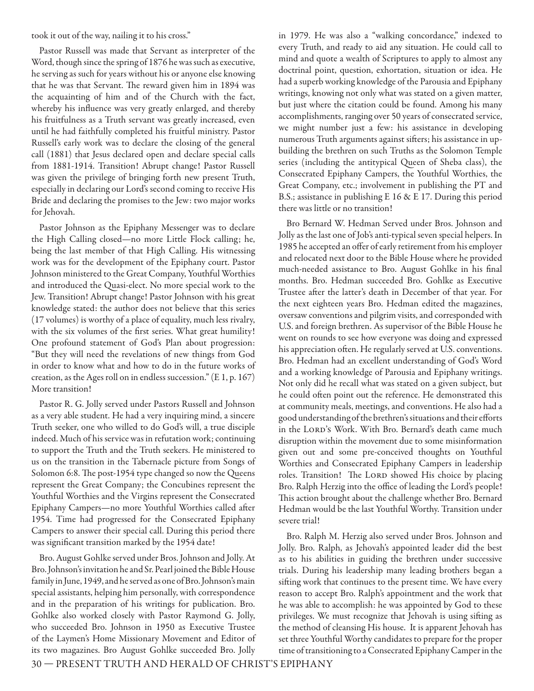took it out of the way, nailing it to his cross."

Pastor Russell was made that Servant as interpreter of the Word, though since the spring of 1876 he was such as executive, he serving as such for years without his or anyone else knowing that he was that Servant. The reward given him in 1894 was the acquainting of him and of the Church with the fact, whereby his influence was very greatly enlarged, and thereby his fruitfulness as a Truth servant was greatly increased, even until he had faithfully completed his fruitful ministry. Pastor Russell's early work was to declare the closing of the general call (1881) that Jesus declared open and declare special calls from 1881-1914. Transition! Abrupt change! Pastor Russell was given the privilege of bringing forth new present Truth, especially in declaring our Lord's second coming to receive His Bride and declaring the promises to the Jew: two major works for Jehovah.

Pastor Johnson as the Epiphany Messenger was to declare the High Calling closed—no more Little Flock calling; he, being the last member of that High Calling. His witnessing work was for the development of the Epiphany court. Pastor Johnson ministered to the Great Company, Youthful Worthies and introduced the Quasi-elect. No more special work to the Jew. Transition! Abrupt change! Pastor Johnson with his great knowledge stated: the author does not believe that this series (17 volumes) is worthy of a place of equality, much less rivalry, with the six volumes of the first series. What great humility! One profound statement of God's Plan about progression: "But they will need the revelations of new things from God in order to know what and how to do in the future works of creation, as the Ages roll on in endless succession." (E 1, p. 167) More transition!

Pastor R. G. Jolly served under Pastors Russell and Johnson as a very able student. He had a very inquiring mind, a sincere Truth seeker, one who willed to do God's will, a true disciple indeed. Much of his service was in refutation work; continuing to support the Truth and the Truth seekers. He ministered to us on the transition in the Tabernacle picture from Songs of Solomon 6:8. The post-1954 type changed so now the Queens represent the Great Company; the Concubines represent the Youthful Worthies and the Virgins represent the Consecrated Epiphany Campers—no more Youthful Worthies called after 1954. Time had progressed for the Consecrated Epiphany Campers to answer their special call. During this period there was significant transition marked by the 1954 date!

Bro. August Gohlke served under Bros. Johnson and Jolly. At Bro. Johnson's invitation he and Sr. Pearl joined the Bible House family in June, 1949, and he served as one of Bro. Johnson's main special assistants, helping him personally, with correspondence and in the preparation of his writings for publication. Bro. Gohlke also worked closely with Pastor Raymond G. Jolly, who succeeded Bro. Johnson in 1950 as Executive Trustee of the Laymen's Home Missionary Movement and Editor of its two magazines. Bro August Gohlke succeeded Bro. Jolly in 1979. He was also a "walking concordance," indexed to every Truth, and ready to aid any situation. He could call to mind and quote a wealth of Scriptures to apply to almost any doctrinal point, question, exhortation, situation or idea. He had a superb working knowledge of the Parousia and Epiphany writings, knowing not only what was stated on a given matter, but just where the citation could be found. Among his many accomplishments, ranging over 50 years of consecrated service, we might number just a few: his assistance in developing numerous Truth arguments against sifters; his assistance in upbuilding the brethren on such Truths as the Solomon Temple series (including the antitypical Queen of Sheba class), the Consecrated Epiphany Campers, the Youthful Worthies, the Great Company, etc.; involvement in publishing the PT and B.S.; assistance in publishing E 16 & E 17. During this period there was little or no transition!

Bro Bernard W. Hedman Served under Bros. Johnson and Jolly as the last one of Job's anti-typical seven special helpers. In 1985 he accepted an offer of early retirement from his employer and relocated next door to the Bible House where he provided much-needed assistance to Bro. August Gohlke in his final months. Bro. Hedman succeeded Bro. Gohlke as Executive Trustee after the latter's death in December of that year. For the next eighteen years Bro. Hedman edited the magazines, oversaw conventions and pilgrim visits, and corresponded with U.S. and foreign brethren. As supervisor of the Bible House he went on rounds to see how everyone was doing and expressed his appreciation often. He regularly served at U.S. conventions. Bro. Hedman had an excellent understanding of God's Word and a working knowledge of Parousia and Epiphany writings. Not only did he recall what was stated on a given subject, but he could often point out the reference. He demonstrated this at community meals, meetings, and conventions. He also had a good understanding of the brethren's situations and their efforts in the LORD's Work. With Bro. Bernard's death came much disruption within the movement due to some misinformation given out and some pre-conceived thoughts on Youthful Worthies and Consecrated Epiphany Campers in leadership roles. Transition! The LORD showed His choice by placing Bro. Ralph Herzig into the office of leading the Lord's people! This action brought about the challenge whether Bro. Bernard Hedman would be the last Youthful Worthy. Transition under severe trial!

Bro. Ralph M. Herzig also served under Bros. Johnson and Jolly. Bro. Ralph, as Jehovah's appointed leader did the best as to his abilities in guiding the brethren under successive trials. During his leadership many leading brothers began a sifting work that continues to the present time. We have every reason to accept Bro. Ralph's appointment and the work that he was able to accomplish: he was appointed by God to these privileges. We must recognize that Jehovah is using sifting as the method of cleansing His house. It is apparent Jehovah has set three Youthful Worthy candidates to prepare for the proper time of transitioning to a Consecrated Epiphany Camper in the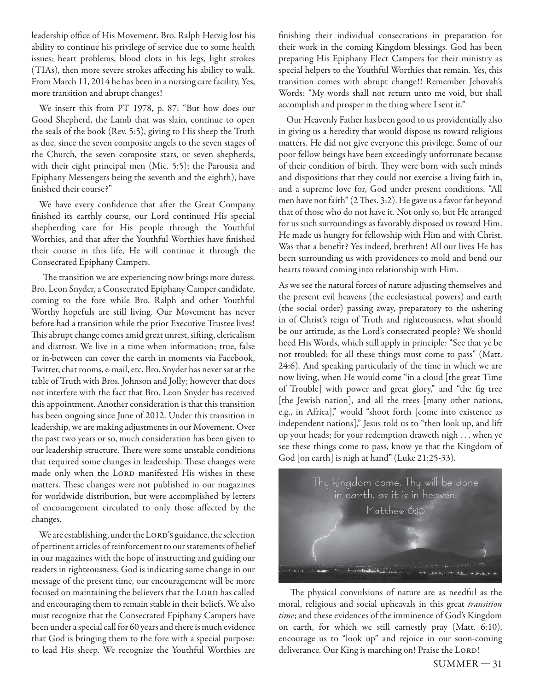leadership office of His Movement. Bro. Ralph Herzig lost his ability to continue his privilege of service due to some health issues; heart problems, blood clots in his legs, light strokes (TIAs), then more severe strokes affecting his ability to walk. From March 11, 2014 he has been in a nursing care facility. Yes, more transition and abrupt changes!

We insert this from PT 1978, p. 87: "But how does our Good Shepherd, the Lamb that was slain, continue to open the seals of the book (Rev. 5:5), giving to His sheep the Truth as due, since the seven composite angels to the seven stages of the Church, the seven composite stars, or seven shepherds, with their eight principal men (Mic. 5:5); the Parousia and Epiphany Messengers being the seventh and the eighth), have finished their course?"

We have every confidence that after the Great Company finished its earthly course, our Lord continued His special shepherding care for His people through the Youthful Worthies, and that after the Youthful Worthies have finished their course in this life, He will continue it through the Consecrated Epiphany Campers.

The transition we are experiencing now brings more duress. Bro. Leon Snyder, a Consecrated Epiphany Camper candidate, coming to the fore while Bro. Ralph and other Youthful Worthy hopefuls are still living. Our Movement has never before had a transition while the prior Executive Trustee lives! This abrupt change comes amid great unrest, sifting, clericalism and distrust. We live in a time when information; true, false or in-between can cover the earth in moments via Facebook, Twitter, chat rooms, e-mail, etc. Bro. Snyder has never sat at the table of Truth with Bros. Johnson and Jolly; however that does not interfere with the fact that Bro. Leon Snyder has received this appointment. Another consideration is that this transition has been ongoing since June of 2012. Under this transition in leadership, we are making adjustments in our Movement. Over the past two years or so, much consideration has been given to our leadership structure. There were some unstable conditions that required some changes in leadership. These changes were made only when the LORD manifested His wishes in these matters. These changes were not published in our magazines for worldwide distribution, but were accomplished by letters of encouragement circulated to only those affected by the changes.

We are establishing, under the LORD's guidance, the selection of pertinent articles of reinforcement to our statements of belief in our magazines with the hope of instructing and guiding our readers in righteousness. God is indicating some change in our message of the present time, our encouragement will be more focused on maintaining the believers that the LORD has called and encouraging them to remain stable in their beliefs. We also must recognize that the Consecrated Epiphany Campers have been under a special call for 60 years and there is much evidence that God is bringing them to the fore with a special purpose: to lead His sheep. We recognize the Youthful Worthies are finishing their individual consecrations in preparation for their work in the coming Kingdom blessings. God has been preparing His Epiphany Elect Campers for their ministry as special helpers to the Youthful Worthies that remain. Yes, this transition comes with abrupt change!! Remember Jehovah's Words: "My words shall not return unto me void, but shall accomplish and prosper in the thing where I sent it."

Our Heavenly Father has been good to us providentially also in giving us a heredity that would dispose us toward religious matters. He did not give everyone this privilege. Some of our poor fellow beings have been exceedingly unfortunate because of their condition of birth. They were born with such minds and dispositions that they could not exercise a living faith in, and a supreme love for, God under present conditions. "All men have not faith" (2 Thes. 3:2). He gave us a favor far beyond that of those who do not have it. Not only so, but He arranged for us such surroundings as favorably disposed us toward Him. He made us hungry for fellowship with Him and with Christ. Was that a benefit? Yes indeed, brethren! All our lives He has been surrounding us with providences to mold and bend our hearts toward coming into relationship with Him.

As we see the natural forces of nature adjusting themselves and the present evil heavens (the ecclesiastical powers) and earth (the social order) passing away, preparatory to the ushering in of Christ's reign of Truth and righteousness, what should be our attitude, as the Lord's consecrated people? We should heed His Words, which still apply in principle: "See that ye be not troubled: for all these things must come to pass" (Matt. 24:6). And speaking particularly of the time in which we are now living, when He would come "in a cloud [the great Time of Trouble] with power and great glory," and "the fig tree [the Jewish nation], and all the trees [many other nations, e.g., in Africa]," would "shoot forth [come into existence as independent nations]," Jesus told us to "then look up, and lift up your heads; for your redemption draweth nigh . . . when ye see these things come to pass, know ye that the Kingdom of God [on earth] is nigh at hand" (Luke 21:25-33).



The physical convulsions of nature are as needful as the moral, religious and social upheavals in this great transition time; and these evidences of the imminence of God's Kingdom on earth, for which we still earnestly pray (Matt. 6:10), encourage us to "look up" and rejoice in our soon-coming deliverance. Our King is marching on! Praise the LORD!